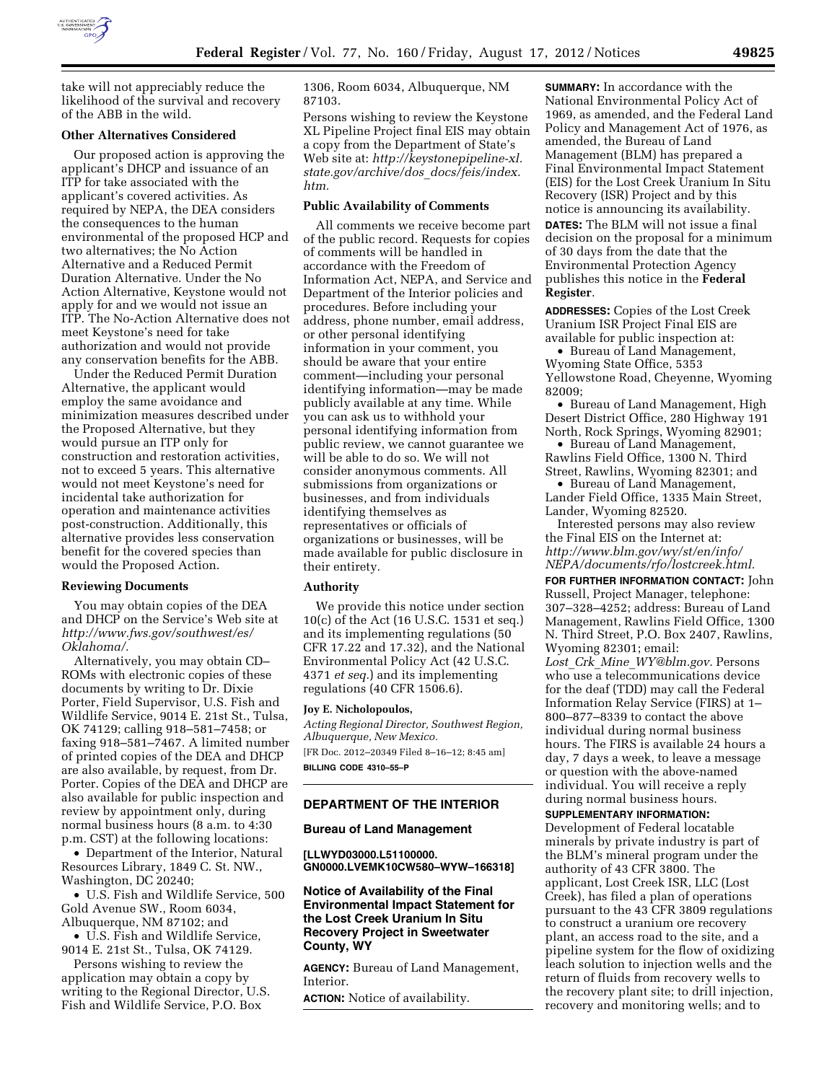

take will not appreciably reduce the likelihood of the survival and recovery of the ABB in the wild.

### **Other Alternatives Considered**

Our proposed action is approving the applicant's DHCP and issuance of an ITP for take associated with the applicant's covered activities. As required by NEPA, the DEA considers the consequences to the human environmental of the proposed HCP and two alternatives; the No Action Alternative and a Reduced Permit Duration Alternative. Under the No Action Alternative, Keystone would not apply for and we would not issue an ITP. The No-Action Alternative does not meet Keystone's need for take authorization and would not provide any conservation benefits for the ABB.

Under the Reduced Permit Duration Alternative, the applicant would employ the same avoidance and minimization measures described under the Proposed Alternative, but they would pursue an ITP only for construction and restoration activities, not to exceed 5 years. This alternative would not meet Keystone's need for incidental take authorization for operation and maintenance activities post-construction. Additionally, this alternative provides less conservation benefit for the covered species than would the Proposed Action.

### **Reviewing Documents**

You may obtain copies of the DEA and DHCP on the Service's Web site at *[http://www.fws.gov/southwest/es/](http://www.fws.gov/southwest/es/Oklahoma/) [Oklahoma/.](http://www.fws.gov/southwest/es/Oklahoma/)* 

Alternatively, you may obtain CD– ROMs with electronic copies of these documents by writing to Dr. Dixie Porter, Field Supervisor, U.S. Fish and Wildlife Service, 9014 E. 21st St., Tulsa, OK 74129; calling 918–581–7458; or faxing 918–581–7467. A limited number of printed copies of the DEA and DHCP are also available, by request, from Dr. Porter. Copies of the DEA and DHCP are also available for public inspection and review by appointment only, during normal business hours (8 a.m. to 4:30 p.m. CST) at the following locations:

• Department of the Interior, Natural Resources Library, 1849 C. St. NW., Washington, DC 20240;

• U.S. Fish and Wildlife Service, 500 Gold Avenue SW., Room 6034, Albuquerque, NM 87102; and

• U.S. Fish and Wildlife Service, 9014 E. 21st St., Tulsa, OK 74129.

Persons wishing to review the application may obtain a copy by writing to the Regional Director, U.S. Fish and Wildlife Service, P.O. Box

1306, Room 6034, Albuquerque, NM 87103.

Persons wishing to review the Keystone XL Pipeline Project final EIS may obtain a copy from the Department of State's Web site at: *[http://keystonepipeline-xl.](http://keystonepipeline-xl.state.gov/archive/dos_docs/feis/index.htm) [state.gov/archive/dos](http://keystonepipeline-xl.state.gov/archive/dos_docs/feis/index.htm)*\_*docs/feis/index. [htm.](http://keystonepipeline-xl.state.gov/archive/dos_docs/feis/index.htm)* 

### **Public Availability of Comments**

All comments we receive become part of the public record. Requests for copies of comments will be handled in accordance with the Freedom of Information Act, NEPA, and Service and Department of the Interior policies and procedures. Before including your address, phone number, email address, or other personal identifying information in your comment, you should be aware that your entire comment—including your personal identifying information—may be made publicly available at any time. While you can ask us to withhold your personal identifying information from public review, we cannot guarantee we will be able to do so. We will not consider anonymous comments. All submissions from organizations or businesses, and from individuals identifying themselves as representatives or officials of organizations or businesses, will be made available for public disclosure in their entirety.

### **Authority**

We provide this notice under section 10(c) of the Act (16 U.S.C. 1531 et seq.) and its implementing regulations (50 CFR 17.22 and 17.32), and the National Environmental Policy Act (42 U.S.C. 4371 *et seq.*) and its implementing regulations (40 CFR 1506.6).

#### **Joy E. Nicholopoulos,**

*Acting Regional Director, Southwest Region, Albuquerque, New Mexico.*  [FR Doc. 2012–20349 Filed 8–16–12; 8:45 am] **BILLING CODE 4310–55–P** 

## **DEPARTMENT OF THE INTERIOR**

#### **Bureau of Land Management**

**[LLWYD03000.L51100000. GN0000.LVEMK10CW580–WYW–166318]** 

# **Notice of Availability of the Final Environmental Impact Statement for the Lost Creek Uranium In Situ Recovery Project in Sweetwater County, WY**

**AGENCY:** Bureau of Land Management, **Interior** 

**ACTION:** Notice of availability.

**SUMMARY:** In accordance with the National Environmental Policy Act of 1969, as amended, and the Federal Land Policy and Management Act of 1976, as amended, the Bureau of Land Management (BLM) has prepared a Final Environmental Impact Statement (EIS) for the Lost Creek Uranium In Situ Recovery (ISR) Project and by this notice is announcing its availability. **DATES:** The BLM will not issue a final

decision on the proposal for a minimum of 30 days from the date that the Environmental Protection Agency publishes this notice in the **Federal Register**.

**ADDRESSES:** Copies of the Lost Creek Uranium ISR Project Final EIS are available for public inspection at:

• Bureau of Land Management, Wyoming State Office, 5353 Yellowstone Road, Cheyenne, Wyoming 82009;

• Bureau of Land Management, High Desert District Office, 280 Highway 191 North, Rock Springs, Wyoming 82901;

• Bureau of Land Management, Rawlins Field Office, 1300 N. Third Street, Rawlins, Wyoming 82301; and

• Bureau of Land Management, Lander Field Office, 1335 Main Street, Lander, Wyoming 82520.

Interested persons may also review the Final EIS on the Internet at: *[http://www.blm.gov/wy/st/en/info/](http://www.blm.gov/wy/st/en/info/NEPA/documents/rfo/lostcreek.html) [NEPA/documents/rfo/lostcreek.html.](http://www.blm.gov/wy/st/en/info/NEPA/documents/rfo/lostcreek.html)* 

**FOR FURTHER INFORMATION CONTACT:** John Russell, Project Manager, telephone: 307–328–4252; address: Bureau of Land Management, Rawlins Field Office, 1300 N. Third Street, P.O. Box 2407, Rawlins, Wyoming 82301; email: *Lost*\_*Crk*\_*Mine*\_*[WY@blm.gov.](mailto:Lost_Crk_Mine_WY@blm.gov)* Persons who use a telecommunications device for the deaf (TDD) may call the Federal Information Relay Service (FIRS) at 1– 800–877–8339 to contact the above individual during normal business hours. The FIRS is available 24 hours a day, 7 days a week, to leave a message or question with the above-named individual. You will receive a reply during normal business hours.

# **SUPPLEMENTARY INFORMATION:**

Development of Federal locatable minerals by private industry is part of the BLM's mineral program under the authority of 43 CFR 3800. The applicant, Lost Creek ISR, LLC (Lost Creek), has filed a plan of operations pursuant to the 43 CFR 3809 regulations to construct a uranium ore recovery plant, an access road to the site, and a pipeline system for the flow of oxidizing leach solution to injection wells and the return of fluids from recovery wells to the recovery plant site; to drill injection, recovery and monitoring wells; and to